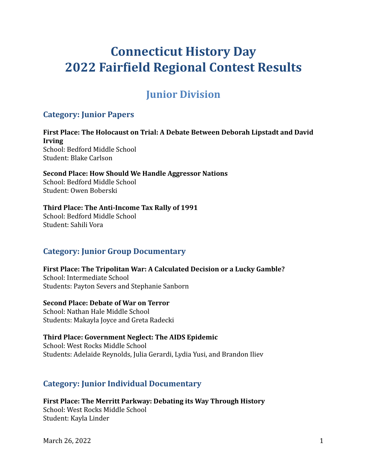# **Connecticut History Day 2022 Fairfield Regional Contest Results**

## **Junior Division**

### **Category: Junior Papers**

**First Place: The Holocaust on Trial: A Debate Between Deborah Lipstadt and David Irving** School: Bedford Middle School Student: Blake Carlson

**Second Place: How Should We Handle Aggressor Nations** School: Bedford Middle School Student: Owen Boberski

#### **Third Place: The Anti-Income Tax Rally of 1991**

School: Bedford Middle School Student: Sahili Vora

### **Category: Junior Group Documentary**

**First Place: The Tripolitan War: A Calculated Decision or a Lucky Gamble?** School: Intermediate School Students: Payton Severs and Stephanie Sanborn

#### **Second Place: Debate of War on Terror**

School: Nathan Hale Middle School Students: Makayla Joyce and Greta Radecki

#### **Third Place: Government Neglect: The AIDS Epidemic** School: West Rocks Middle School

Students: Adelaide Reynolds, Julia Gerardi, Lydia Yusi, and Brandon Iliev

### **Category: Junior Individual Documentary**

**First Place: The Merritt Parkway: Debating its Way Through History** School: West Rocks Middle School Student: Kayla Linder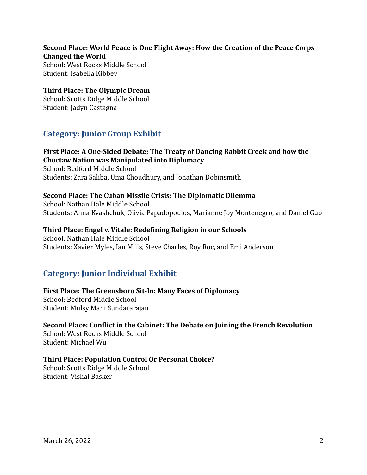#### **Second Place: World Peace is One Flight Away: How the Creation of the Peace Corps Changed the World**

School: West Rocks Middle School Student: Isabella Kibbey

### **Third Place: The Olympic Dream**

School: Scotts Ridge Middle School Student: Jadyn Castagna

### **Category: Junior Group Exhibit**

#### **First Place: A One-Sided Debate: The Treaty of Dancing Rabbit Creek and how the Choctaw Nation was Manipulated into Diplomacy**

School: Bedford Middle School Students: Zara Saliba, Uma Choudhury, and Jonathan Dobinsmith

#### **Second Place: The Cuban Missile Crisis: The Diplomatic Dilemma**

School: Nathan Hale Middle School Students: Anna Kvashchuk, Olivia Papadopoulos, Marianne Joy Montenegro, and Daniel Guo

#### **Third Place: Engel v. Vitale: Redefining Religion in our Schools**

School: Nathan Hale Middle School Students: Xavier Myles, Ian Mills, Steve Charles, Roy Roc, and Emi Anderson

### **Category: Junior Individual Exhibit**

#### **First Place: The Greensboro Sit-In: Many Faces of Diplomacy** School: Bedford Middle School

Student: Mulsy Mani Sundararajan

### **Second Place: Conflict in the Cabinet: The Debate on Joining the French Revolution**

School: West Rocks Middle School Student: Michael Wu

#### **Third Place: Population Control Or Personal Choice?**

School: Scotts Ridge Middle School Student: Vishal Basker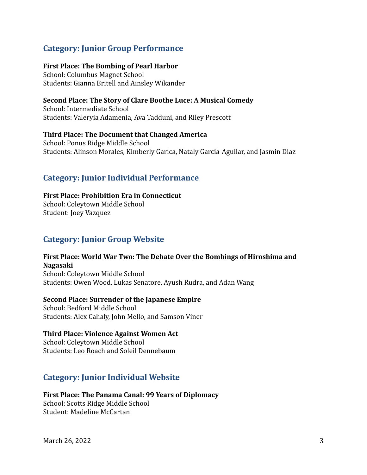### **Category: Junior Group Performance**

#### **First Place: The Bombing of Pearl Harbor**

School: Columbus Magnet School Students: Gianna Britell and Ainsley Wikander

#### **Second Place: The Story of Clare Boothe Luce: A Musical Comedy**

School: Intermediate School Students: Valeryia Adamenia, Ava Tadduni, and Riley Prescott

### **Third Place: The Document that Changed America**

School: Ponus Ridge Middle School Students: Alinson Morales, Kimberly Garica, Nataly Garcia-Aguilar, and Jasmin Diaz

### **Category: Junior Individual Performance**

#### **First Place: Prohibition Era in Connecticut**

School: Coleytown Middle School Student: Joey Vazquez

### **Category: Junior Group Website**

#### **First Place: World War Two: The Debate Over the Bombings of Hiroshima and Nagasaki**

School: Coleytown Middle School Students: Owen Wood, Lukas Senatore, Ayush Rudra, and Adan Wang

#### **Second Place: Surrender of the Japanese Empire**

School: Bedford Middle School Students: Alex Cahaly, John Mello, and Samson Viner

#### **Third Place: Violence Against Women Act**

School: Coleytown Middle School Students: Leo Roach and Soleil Dennebaum

### **Category: Junior Individual Website**

#### **First Place: The Panama Canal: 99 Years of Diplomacy**

School: Scotts Ridge Middle School Student: Madeline McCartan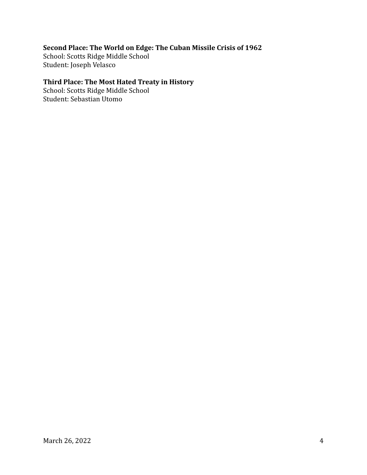### **Second Place: The World on Edge: The Cuban Missile Crisis of 1962**

School: Scotts Ridge Middle School Student: Joseph Velasco

#### **Third Place: The Most Hated Treaty in History**

School: Scotts Ridge Middle School Student: Sebastian Utomo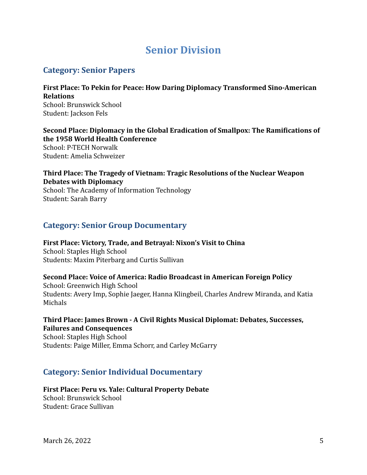## **Senior Division**

### **Category: Senior Papers**

**First Place: To Pekin for Peace: How Daring Diplomacy Transformed Sino-American Relations** School: Brunswick School Student: Jackson Fels

**Second Place: Diplomacy in the Global Eradication of Smallpox: The Ramifications of the 1958 World Health Conference** School: P-TECH Norwalk Student: Amelia Schweizer

**Third Place: The Tragedy of Vietnam: Tragic Resolutions of the Nuclear Weapon Debates with Diplomacy**

School: The Academy of Information Technology Student: Sarah Barry

### **Category: Senior Group Documentary**

**First Place: Victory, Trade, and Betrayal: Nixon's Visit to China** School: Staples High School Students: Maxim Piterbarg and Curtis Sullivan

**Second Place: Voice of America: Radio Broadcast in American Foreign Policy**

School: Greenwich High School Students: Avery Imp, Sophie Jaeger, Hanna Klingbeil, Charles Andrew Miranda, and Katia Michals

**Third Place: James Brown - A Civil Rights Musical Diplomat: Debates, Successes, Failures and Consequences**

School: Staples High School Students: Paige Miller, Emma Schorr, and Carley McGarry

### **Category: Senior Individual Documentary**

**First Place: Peru vs. Yale: Cultural Property Debate** School: Brunswick School Student: Grace Sullivan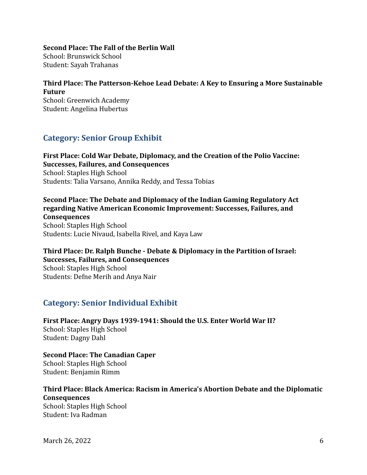#### **Second Place: The Fall of the Berlin Wall**

School: Brunswick School Student: Sayah Trahanas

### **Third Place: The Patterson-Kehoe Lead Debate: A Key to Ensuring a More Sustainable Future**

School: Greenwich Academy Student: Angelina Hubertus

### **Category: Senior Group Exhibit**

#### **First Place: Cold War Debate, Diplomacy, and the Creation of the Polio Vaccine: Successes, Failures, and Consequences** School: Staples High School Students: Talia Varsano, Annika Reddy, and Tessa Tobias

**Second Place: The Debate and Diplomacy of the Indian Gaming Regulatory Act regarding Native American Economic Improvement: Successes, Failures, and Consequences** School: Staples High School

Students: Lucie Nivaud, Isabella Rivel, and Kaya Law

### **Third Place: Dr. Ralph Bunche - Debate & Diplomacy in the Partition of Israel: Successes, Failures, and Consequences**

School: Staples High School Students: Defne Merih and Anya Nair

### **Category: Senior Individual Exhibit**

**First Place: Angry Days 1939-1941: Should the U.S. Enter World War II?** School: Staples High School Student: Dagny Dahl

**Second Place: The Canadian Caper** School: Staples High School Student: Benjamin Rimm

#### **Third Place: Black America: Racism in America's Abortion Debate and the Diplomatic Consequences**

School: Staples High School Student: Iva Radman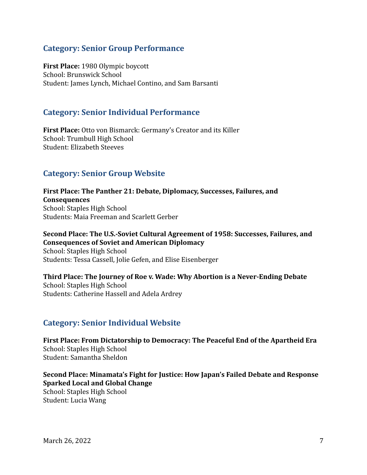### **Category: Senior Group Performance**

**First Place:** 1980 Olympic boycott School: Brunswick School Student: James Lynch, Michael Contino, and Sam Barsanti

#### **Category: Senior Individual Performance**

**First Place:** Otto von Bismarck: Germany's Creator and its Killer School: Trumbull High School Student: Elizabeth Steeves

### **Category: Senior Group Website**

**First Place: The Panther 21: Debate, Diplomacy, Successes, Failures, and Consequences** School: Staples High School Students: Maia Freeman and Scarlett Gerber

#### **Second Place: The U.S.-Soviet Cultural Agreement of 1958: Successes, Failures, and Consequences of Soviet and American Diplomacy**

School: Staples High School Students: Tessa Cassell, Jolie Gefen, and Elise Eisenberger

**Third Place: The Journey of Roe v. Wade: Why Abortion is a Never-Ending Debate** School: Staples High School Students: Catherine Hassell and Adela Ardrey

### **Category: Senior Individual Website**

**First Place: From Dictatorship to Democracy: The Peaceful End of the Apartheid Era** School: Staples High School Student: Samantha Sheldon

**Second Place: Minamata's Fight for Justice: How Japan's Failed Debate and Response Sparked Local and Global Change** School: Staples High School Student: Lucia Wang